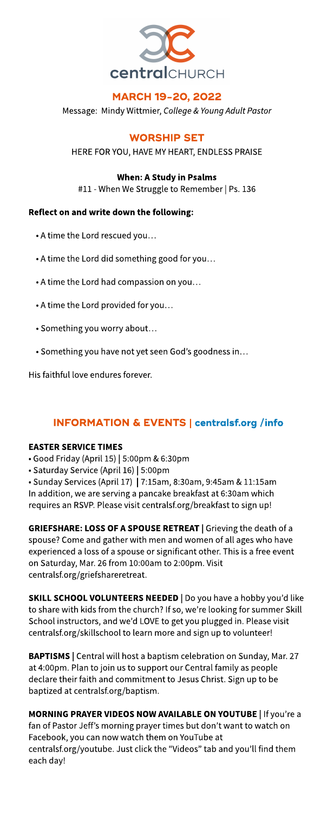

## MARCH 19-20, 2022

Message: Mindy Wittmier, **College&YoungAdult Pastor**

**WORSHIP SET** 

HERE FOR YOU, HAVE MY HEART, ENDLESS PRAISE

When: AStudy in Psalms

#11 - When We Struggle to Remember | Ps. 136

### Reflect on and write down the following:

- A time the Lord rescued you...
- A time the Lord did something good for you...
- A time the Lord had compassion on you...
- A time the Lord provided for you...
- Something you worry about?
- Something you have not yet seen God's goodness in...

His faithful love endures forever.

# INFORMATION& EVENTS| **[centralsf.org/info](http://centralsf.org/info)**

### **EASTER SERVICE TIMES**

- Good Friday (April 15) | 5:00pm &6:30pm
- Saturday Service (April 16) | 5:00pm

• Sunday Services (April 17) | 7:15am, 8:30am, 9:45am & 11:15am In addition, we are serving a pancake breakfast at 6:30am which requires an RSVP. Please visit centralsf.org/breakfast to sign up!

GRIEFSHARE: LOSS OF A SPOUSE RETREAT | Grieving the death of a spouse? Come and gather with men and women of all ages who have experienced a loss of a spouse or significant other. This is a free event on Saturday, Mar. 26 from 10:00am to 2:00pm. Visit centralsf.org/griefshareretreat.

SKILL SCHOOL VOLUNTEERS NEEDED | Do you have a hobby you'd like to share with kids from the church? If so, we're looking for summer Skill School instructors, and we'd LOVE to get you plugged in. Please visit centralsf.org/skillschool to learn more and sign up to volunteer!

BAPTISMS | Central will host a baptism celebration on Sunday, Mar. 27 at 4:00pm. Plan to join us to support our Central family as people declare their faith and commitment to Jesus Christ. Sign up to be baptized at centralsf.org/baptism.

MORNING PRAYER VIDEOS NOW AVAILABLE ON YOUTUBE | If you're a fan of Pastor Jeff's morning prayer times but don't want to watch on Facebook, you can now watch them on YouTube at centralsf.org/youtube. Just click the "Videos" tab and you'll find them each day!